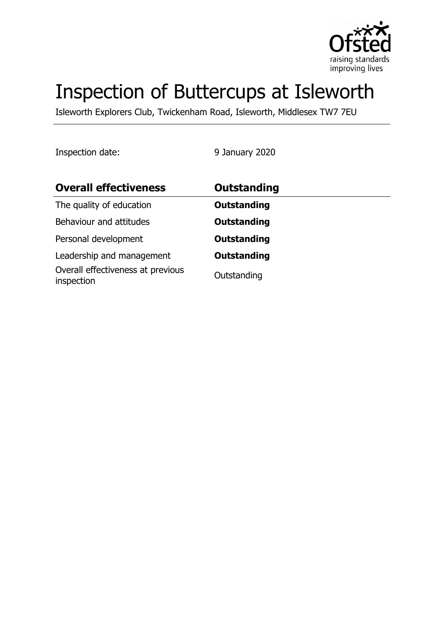

# Inspection of Buttercups at Isleworth

Isleworth Explorers Club, Twickenham Road, Isleworth, Middlesex TW7 7EU

Inspection date: 9 January 2020

| <b>Overall effectiveness</b>                    | Outstanding        |
|-------------------------------------------------|--------------------|
| The quality of education                        | <b>Outstanding</b> |
| Behaviour and attitudes                         | <b>Outstanding</b> |
| Personal development                            | <b>Outstanding</b> |
| Leadership and management                       | <b>Outstanding</b> |
| Overall effectiveness at previous<br>inspection | Outstanding        |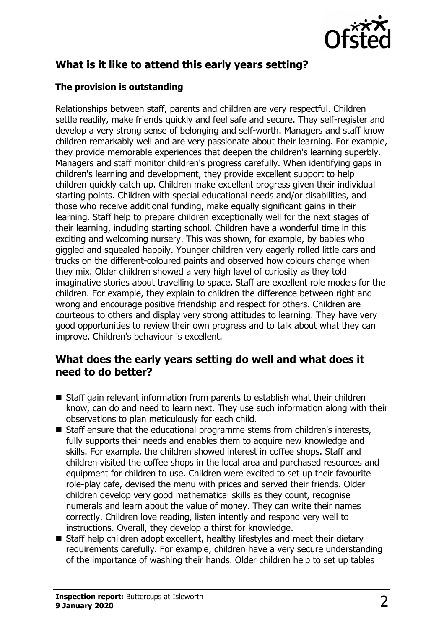

## **What is it like to attend this early years setting?**

#### **The provision is outstanding**

Relationships between staff, parents and children are very respectful. Children settle readily, make friends quickly and feel safe and secure. They self-register and develop a very strong sense of belonging and self-worth. Managers and staff know children remarkably well and are very passionate about their learning. For example, they provide memorable experiences that deepen the children's learning superbly. Managers and staff monitor children's progress carefully. When identifying gaps in children's learning and development, they provide excellent support to help children quickly catch up. Children make excellent progress given their individual starting points. Children with special educational needs and/or disabilities, and those who receive additional funding, make equally significant gains in their learning. Staff help to prepare children exceptionally well for the next stages of their learning, including starting school. Children have a wonderful time in this exciting and welcoming nursery. This was shown, for example, by babies who giggled and squealed happily. Younger children very eagerly rolled little cars and trucks on the different-coloured paints and observed how colours change when they mix. Older children showed a very high level of curiosity as they told imaginative stories about travelling to space. Staff are excellent role models for the children. For example, they explain to children the difference between right and wrong and encourage positive friendship and respect for others. Children are courteous to others and display very strong attitudes to learning. They have very good opportunities to review their own progress and to talk about what they can improve. Children's behaviour is excellent.

### **What does the early years setting do well and what does it need to do better?**

- $\blacksquare$  Staff gain relevant information from parents to establish what their children know, can do and need to learn next. They use such information along with their observations to plan meticulously for each child.
- $\blacksquare$  Staff ensure that the educational programme stems from children's interests, fully supports their needs and enables them to acquire new knowledge and skills. For example, the children showed interest in coffee shops. Staff and children visited the coffee shops in the local area and purchased resources and equipment for children to use. Children were excited to set up their favourite role-play cafe, devised the menu with prices and served their friends. Older children develop very good mathematical skills as they count, recognise numerals and learn about the value of money. They can write their names correctly. Children love reading, listen intently and respond very well to instructions. Overall, they develop a thirst for knowledge.
- Staff help children adopt excellent, healthy lifestyles and meet their dietary requirements carefully. For example, children have a very secure understanding of the importance of washing their hands. Older children help to set up tables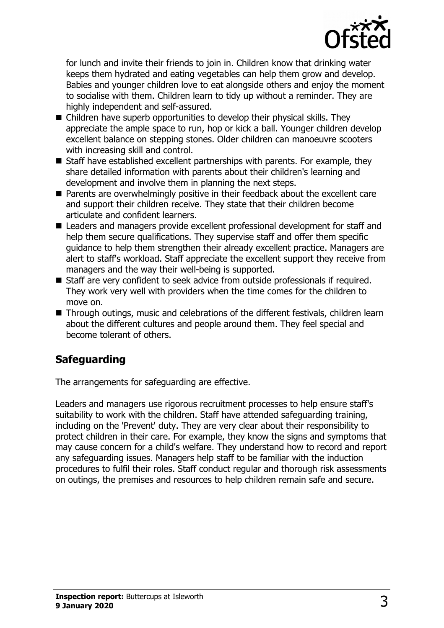

for lunch and invite their friends to join in. Children know that drinking water keeps them hydrated and eating vegetables can help them grow and develop. Babies and younger children love to eat alongside others and enjoy the moment to socialise with them. Children learn to tidy up without a reminder. They are highly independent and self-assured.

- $\blacksquare$  Children have superb opportunities to develop their physical skills. They appreciate the ample space to run, hop or kick a ball. Younger children develop excellent balance on stepping stones. Older children can manoeuvre scooters with increasing skill and control.
- $\blacksquare$  Staff have established excellent partnerships with parents. For example, they share detailed information with parents about their children's learning and development and involve them in planning the next steps.
- $\blacksquare$  Parents are overwhelmingly positive in their feedback about the excellent care and support their children receive. They state that their children become articulate and confident learners.
- Leaders and managers provide excellent professional development for staff and help them secure qualifications. They supervise staff and offer them specific guidance to help them strengthen their already excellent practice. Managers are alert to staff's workload. Staff appreciate the excellent support they receive from managers and the way their well-being is supported.
- Staff are very confident to seek advice from outside professionals if required. They work very well with providers when the time comes for the children to move on.
- Through outings, music and celebrations of the different festivals, children learn about the different cultures and people around them. They feel special and become tolerant of others.

## **Safeguarding**

The arrangements for safeguarding are effective.

Leaders and managers use rigorous recruitment processes to help ensure staff's suitability to work with the children. Staff have attended safeguarding training, including on the 'Prevent' duty. They are very clear about their responsibility to protect children in their care. For example, they know the signs and symptoms that may cause concern for a child's welfare. They understand how to record and report any safeguarding issues. Managers help staff to be familiar with the induction procedures to fulfil their roles. Staff conduct regular and thorough risk assessments on outings, the premises and resources to help children remain safe and secure.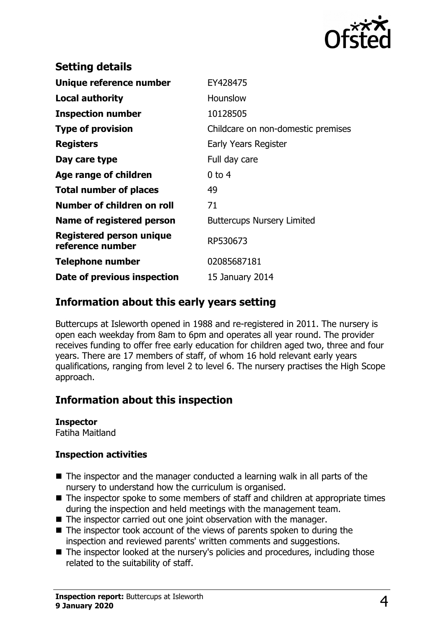

| <b>Setting details</b>                       |                                    |
|----------------------------------------------|------------------------------------|
| Unique reference number                      | EY428475                           |
| Local authority                              | Hounslow                           |
| <b>Inspection number</b>                     | 10128505                           |
| <b>Type of provision</b>                     | Childcare on non-domestic premises |
| <b>Registers</b>                             | Early Years Register               |
| Day care type                                | Full day care                      |
| Age range of children                        | $0$ to 4                           |
| <b>Total number of places</b>                | 49                                 |
| Number of children on roll                   | 71                                 |
| Name of registered person                    | <b>Buttercups Nursery Limited</b>  |
| Registered person unique<br>reference number | RP530673                           |
| <b>Telephone number</b>                      | 02085687181                        |
| Date of previous inspection                  | 15 January 2014                    |
|                                              |                                    |

### **Information about this early years setting**

Buttercups at Isleworth opened in 1988 and re-registered in 2011. The nursery is open each weekday from 8am to 6pm and operates all year round. The provider receives funding to offer free early education for children aged two, three and four years. There are 17 members of staff, of whom 16 hold relevant early years qualifications, ranging from level 2 to level 6. The nursery practises the High Scope approach.

## **Information about this inspection**

#### **Inspector**

Fatiha Maitland

#### **Inspection activities**

- $\blacksquare$  The inspector and the manager conducted a learning walk in all parts of the nursery to understand how the curriculum is organised.
- $\blacksquare$  The inspector spoke to some members of staff and children at appropriate times during the inspection and held meetings with the management team.
- $\blacksquare$  The inspector carried out one joint observation with the manager.
- $\blacksquare$  The inspector took account of the views of parents spoken to during the inspection and reviewed parents' written comments and suggestions.
- $\blacksquare$  The inspector looked at the nursery's policies and procedures, including those related to the suitability of staff.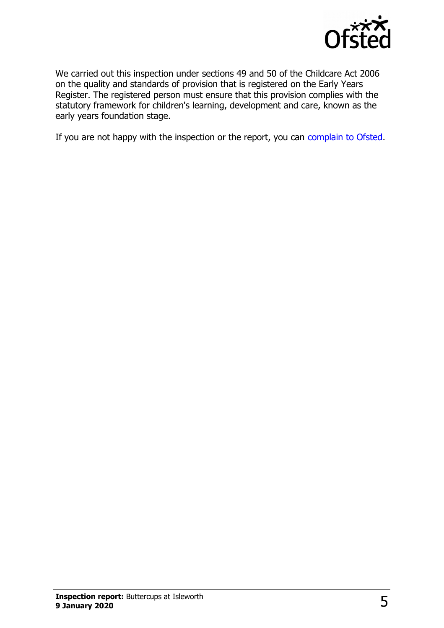

We carried out this inspection under sections 49 and 50 of the Childcare Act 2006 on the quality and standards of provision that is registered on the Early Years Register. The registered person must ensure that this provision complies with the statutory framework for children's learning, development and care, known as the early years foundation stage.

If you are not happy with the inspection or the report, you can [complain to Ofsted.](http://www.gov.uk/complain-ofsted-report)